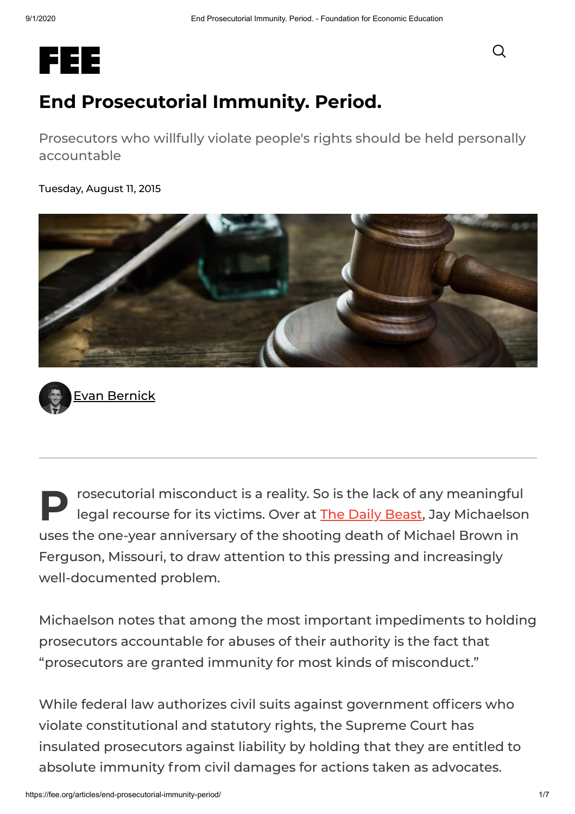FEE

### **End Prosecutorial Immunity. Period.**

Prosecutors who willfully violate people's rights should be held personally accountable

Tuesday, August 11, 2015





**P** rosecutorial misconduct is a reality. So is the lack of any meaningful legal recourse for its victims. Over at **The Daily [Beast](http://www.thedailybeast.com/articles/2015/08/08/it-s-not-just-cops-prosecutors-run-wild.html?via=desktop&source=twitter)**, Jay Michaelson uses the one-year anniversary of the shooting death of Michael Brown in Ferguson, Missouri, to draw attention to this pressing and increasingly well-documented problem.

Michaelson notes that among the most important impediments to holding prosecutors accountable for abuses of their authority is the fact that "prosecutors are granted immunity for most kinds of misconduct."

While federal law authorizes civil suits against government officers who violate constitutional and statutory rights, the Supreme Court has insulated prosecutors against liability by holding that they are entitled to absolute immunity from civil damages for actions taken as advocates.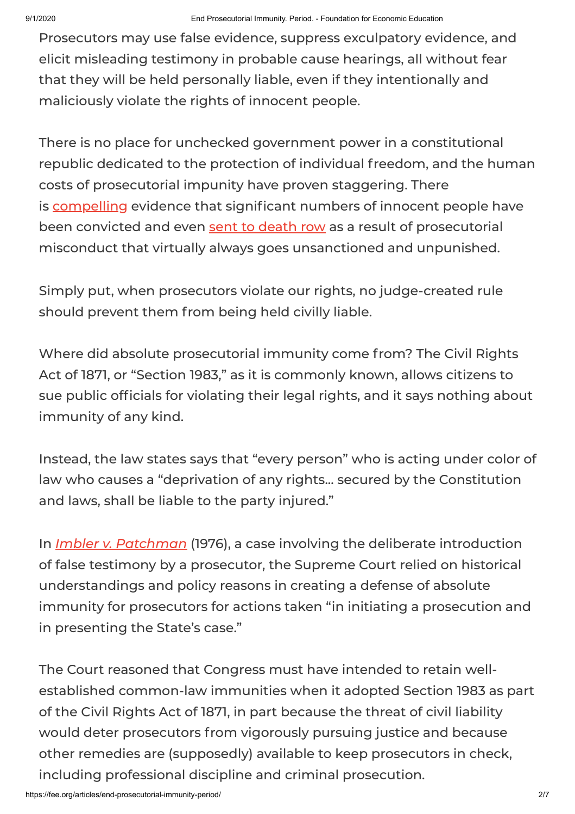Prosecutors may use false evidence, suppress exculpatory evidence, and elicit misleading testimony in probable cause hearings, all without fear that they will be held personally liable, even if they intentionally and maliciously violate the rights of innocent people.

There is no place for unchecked government power in a constitutional republic dedicated to the protection of individual freedom, and the human costs of prosecutorial impunity have proven staggering. There is [compelling](https://www.amazon.com/Harmful-Error-Investigating-Americas-Prosecutors-ebook/dp/B0018L29Z4) evidence that significant numbers of innocent people have been convicted and even sent to [death](http://www.chicagotribune.com/news/watchdog/chi-020103trial1-story.html#page=2) row as a result of prosecutorial misconduct that virtually always goes unsanctioned and unpunished.

Simply put, when prosecutors violate our rights, no judge-created rule should prevent them from being held civilly liable.

Where did absolute prosecutorial immunity come from? The Civil Rights Act of 1871, or "Section 1983," as it is commonly known, allows citizens to sue public officials for violating their legal rights, and it says nothing about immunity of any kind.

Instead, the law states says that "every person" who is acting under color of law who causes a "deprivation of any rights... secured by the Constitution and laws, shall be liable to the party injured."

In *Imbler v. [Patchman](https://scholar.google.com/scholar_case?case=5758861728040203406&q=imbler&hl=en&as_sdt=6,47)* (1976), a case involving the deliberate introduction of false testimony by a prosecutor, the Supreme Court relied on historical understandings and policy reasons in creating a defense of absolute immunity for prosecutors for actions taken "in initiating a prosecution and in presenting the State's case."

The Court reasoned that Congress must have intended to retain wellestablished common-law immunities when it adopted Section 1983 as part of the Civil Rights Act of 1871, in part because the threat of civil liability would deter prosecutors from vigorously pursuing justice and because other remedies are (supposedly) available to keep prosecutors in check, including professional discipline and criminal prosecution.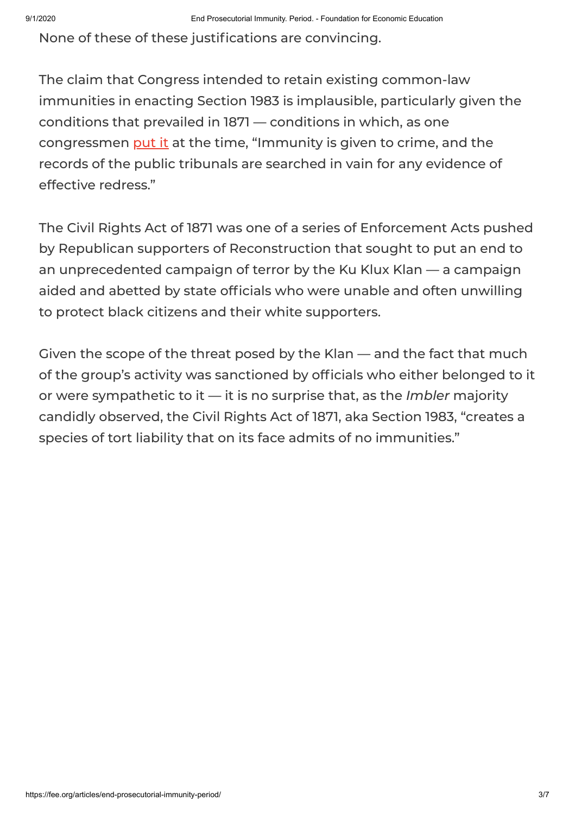None of these of these justifications are convincing.

The claim that Congress intended to retain existing common-law immunities in enacting Section 1983 is implausible, particularly given the conditions that prevailed in 1871 — conditions in which, as one congressmen [put](https://scholar.google.com/scholar_case?case=9116244287806866358&q=monroe+v+pape&hl=en&as_sdt=6,47) it at the time, "Immunity is given to crime, and the records of the public tribunals are searched in vain for any evidence of effective redress."

The Civil Rights Act of 1871 was one of a series of Enforcement Acts pushed by Republican supporters of Reconstruction that sought to put an end to an unprecedented campaign of terror by the Ku Klux Klan — a campaign aided and abetted by state officials who were unable and often unwilling to protect black citizens and their white supporters.

Given the scope of the threat posed by the Klan — and the fact that much of the group's activity was sanctioned by officials who either belonged to it or were sympathetic to it — it is no surprise that, as the *Imbler* majority candidly observed, the Civil Rights Act of 1871, aka Section 1983, "creates a species of tort liability that on its face admits of no immunities."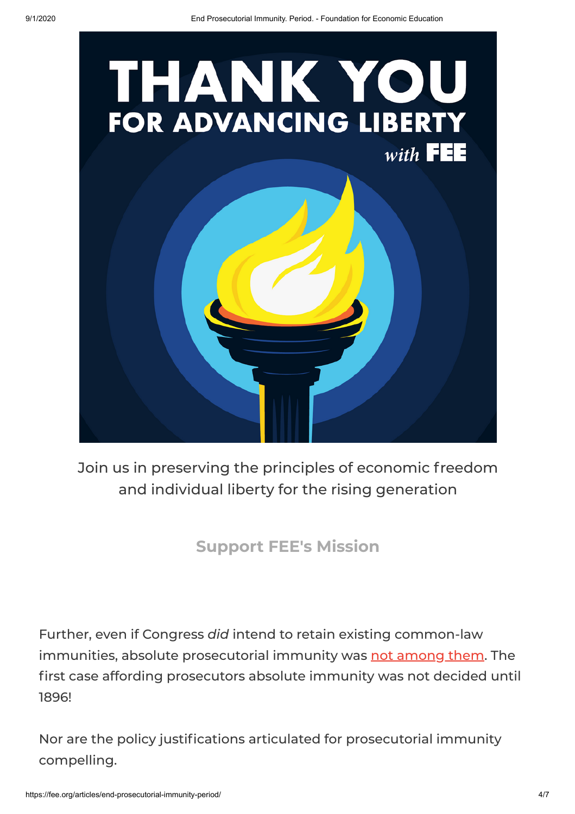

Join us in preserving the principles of economic freedom and individual liberty for the rising generation

**Support FEE's Mission**

Further, even if Congress *did* intend to retain existing common-law immunities, absolute prosecutorial immunity was not [among](http://digitalcommons.law.byu.edu/cgi/viewcontent.cgi?article=2225&context=lawreview) them. The first case affording prosecutors absolute immunity was not decided until 1896!

Nor are the policy justifications articulated for prosecutorial immunity compelling.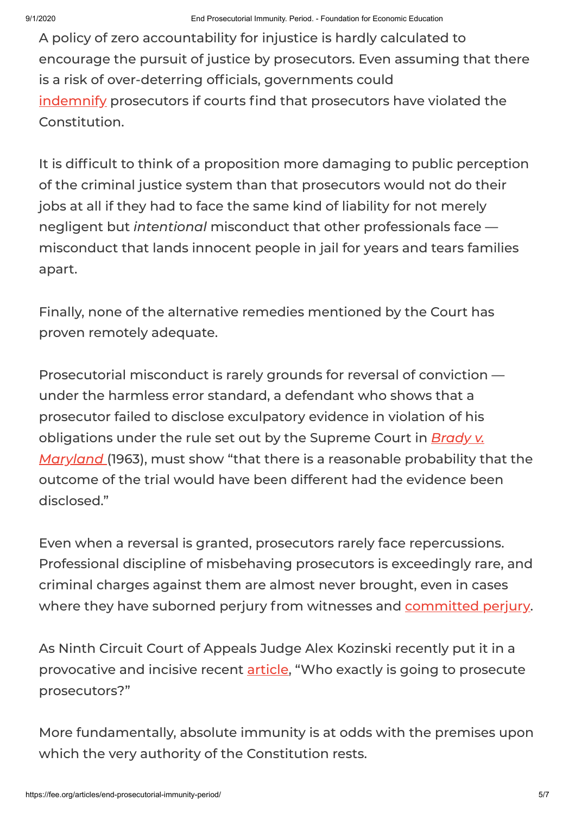A policy of zero accountability for injustice is hardly calculated to encourage the pursuit of justice by prosecutors. Even assuming that there is a risk of over-deterring officials, governments could [indemnify](https://www.law.cornell.edu/wex/indemnify) prosecutors if courts find that prosecutors have violated the Constitution.

It is difficult to think of a proposition more damaging to public perception of the criminal justice system than that prosecutors would not do their jobs at all if they had to face the same kind of liability for not merely negligent but *intentional* misconduct that other professionals face misconduct that lands innocent people in jail for years and tears families apart.

Finally, none of the alternative remedies mentioned by the Court has proven remotely adequate.

Prosecutorial misconduct is rarely grounds for reversal of conviction under the harmless error standard, a defendant who shows that a prosecutor failed to disclose exculpatory evidence in violation of his [obligations](https://scholar.google.com/scholar_case?case=9550433126269674519&q=brady+v+maryland&hl=en&as_sdt=6,47) under the rule set out by the Supreme Court in *Brady v. Maryland* (1963), must show "that there is a reasonable probability that the outcome of the trial would have been different had the evidence been disclosed."

Even when a reversal is granted, prosecutors rarely face repercussions. Professional discipline of misbehaving prosecutors is exceedingly rare, and criminal charges against them are almost never brought, even in cases where they have suborned perjury from witnesses and [committed](http://www.prosecutorialaccountability.com/ca-ag-harris-drops-appeal-in-wake-of-judges-suggestion-prosecutor-be-tried-for-perjury/) perjury.

As Ninth Circuit Court of Appeals Judge Alex Kozinski recently put it in a provocative and incisive recent [article](http://georgetownlawjournal.org/files/2015/06/Kozinski_Preface.pdf), "Who exactly is going to prosecute prosecutors?"

More fundamentally, absolute immunity is at odds with the premises upon which the very authority of the Constitution rests.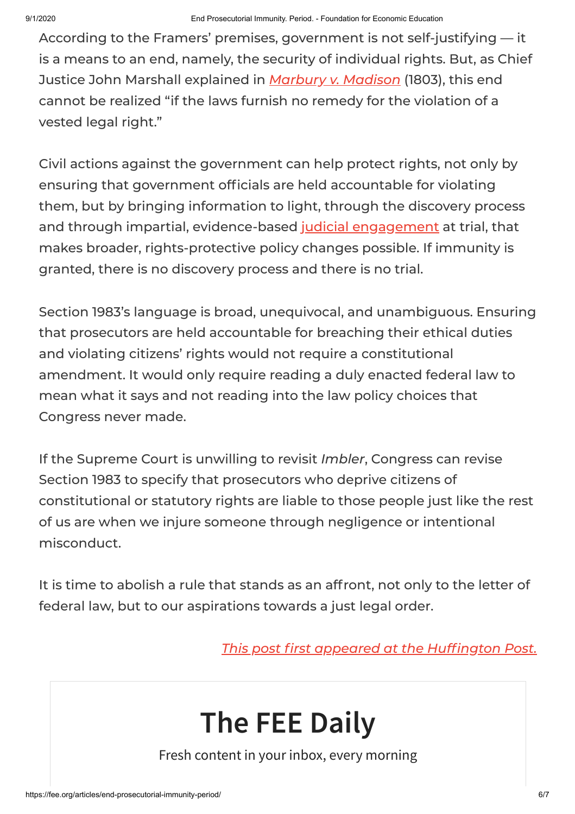According to the Framers' premises, government is not self-justifying — it is a means to an end, namely, the security of individual rights. But, as Chief Justice John Marshall explained in *Marbury v. [Madison](https://scholar.google.com/scholar_case?case=9834052745083343188&q=marbury+v+madison&hl=en&as_sdt=6,47)* (1803), this end cannot be realized "if the laws furnish no remedy for the violation of a vested legal right."

Civil actions against the government can help protect rights, not only by ensuring that government officials are held accountable for violating them, but by bringing information to light, through the discovery process and through impartial, evidence-based judicial [engagement](http://ij.org/cje) at trial, that makes broader, rights-protective policy changes possible. If immunity is granted, there is no discovery process and there is no trial.

Section 1983's language is broad, unequivocal, and unambiguous. Ensuring that prosecutors are held accountable for breaching their ethical duties and violating citizens' rights would not require a constitutional amendment. It would only require reading a duly enacted federal law to mean what it says and not reading into the law policy choices that Congress never made.

If the Supreme Court is unwilling to revisit *Imbler*, Congress can revise Section 1983 to specify that prosecutors who deprive citizens of constitutional or statutory rights are liable to those people just like the rest of us are when we injure someone through negligence or intentional misconduct.

It is time to abolish a rule that stands as an affront, not only to the letter of federal law, but to our aspirations towards a just legal order.

*<u>This post first appeared at the Huffington Post.</u>* 

# **The FEE Daily**

Fresh content in your inbox, every morning